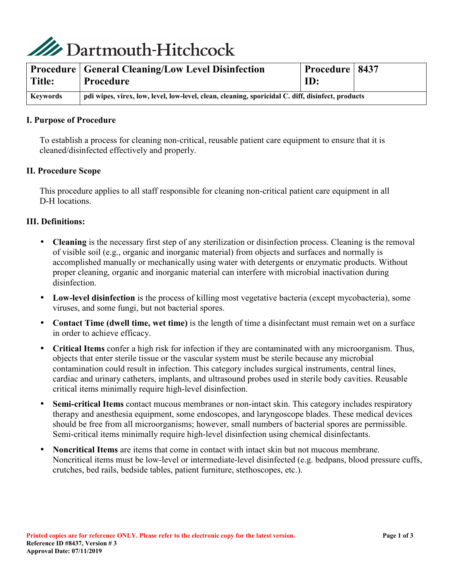

| Title:   | <b>Procedure   General Cleaning/Low Level Disinfection</b><br>Procedure                           | <b>Procedure   8437</b><br>ID: |  |
|----------|---------------------------------------------------------------------------------------------------|--------------------------------|--|
| Keywords | pdi wipes, virex, low, level, low-level, clean, cleaning, sporicidal C. diff, disinfect, products |                                |  |

## **I. Purpose of Procedure**

To establish a process for cleaning non-critical, reusable patient care equipment to ensure that it is cleaned/disinfected effectively and properly.

#### **II. Procedure Scope**

This procedure applies to all staff responsible for cleaning non-critical patient care equipment in all D-H locations.

#### **III. Definitions:**

- **Cleaning** is the necessary first step of any sterilization or disinfection process. Cleaning is the removal of visible soil (e.g., organic and inorganic material) from objects and surfaces and normally is accomplished manually or mechanically using water with detergents or enzymatic products. Without proper cleaning, organic and inorganic material can interfere with microbial inactivation during disinfection.
- **Low-level disinfection** is the process of killing most vegetative bacteria (except mycobacteria), some viruses, and some fungi, but not bacterial spores.
- **Contact Time (dwell time, wet time)** is the length of time a disinfectant must remain wet on a surface in order to achieve efficacy.
- **Critical Items** confer a high risk for infection if they are contaminated with any microorganism. Thus, objects that enter sterile tissue or the vascular system must be sterile because any microbial contamination could result in infection. This category includes surgical instruments, central lines, cardiac and urinary catheters, implants, and ultrasound probes used in sterile body cavities. Reusable critical items minimally require high-level disinfection.
- **Semi-critical Items** contact mucous membranes or non-intact skin. This category includes respiratory therapy and anesthesia equipment, some endoscopes, and laryngoscope blades. These medical devices should be free from all microorganisms; however, small numbers of bacterial spores are permissible. Semi-critical items minimally require high-level disinfection using chemical disinfectants.
- **Noncritical Items** are items that come in contact with intact skin but not mucous membrane. Noncritical items must be low-level or intermediate-level disinfected (e.g. bedpans, blood pressure cuffs, crutches, bed rails, bedside tables, patient furniture, stethoscopes, etc.).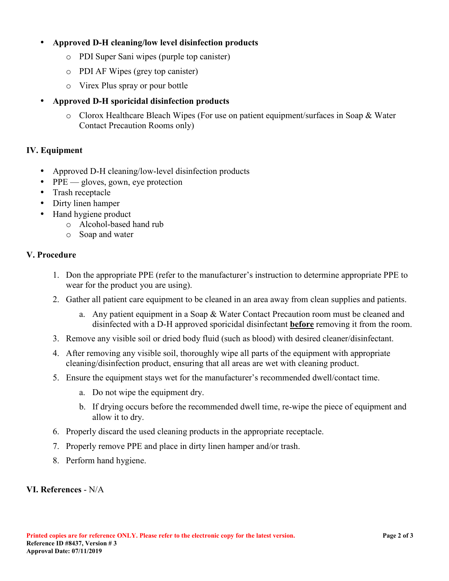# • **Approved D-H cleaning/low level disinfection products**

- o PDI Super Sani wipes (purple top canister)
- o PDI AF Wipes (grey top canister)
- o Virex Plus spray or pour bottle

# • **Approved D-H sporicidal disinfection products**

o Clorox Healthcare Bleach Wipes (For use on patient equipment/surfaces in Soap & Water Contact Precaution Rooms only)

## **IV. Equipment**

- Approved D-H cleaning/low-level disinfection products
- PPE gloves, gown, eye protection
- Trash receptacle
- Dirty linen hamper
- Hand hygiene product
	- o Alcohol-based hand rub
	- o Soap and water

## **V. Procedure**

- 1. Don the appropriate PPE (refer to the manufacturer's instruction to determine appropriate PPE to wear for the product you are using).
- 2. Gather all patient care equipment to be cleaned in an area away from clean supplies and patients.
	- a. Any patient equipment in a Soap & Water Contact Precaution room must be cleaned and disinfected with a D-H approved sporicidal disinfectant **before** removing it from the room.
- 3. Remove any visible soil or dried body fluid (such as blood) with desired cleaner/disinfectant.
- 4. After removing any visible soil, thoroughly wipe all parts of the equipment with appropriate cleaning/disinfection product, ensuring that all areas are wet with cleaning product.
- 5. Ensure the equipment stays wet for the manufacturer's recommended dwell/contact time.
	- a. Do not wipe the equipment dry.
	- b. If drying occurs before the recommended dwell time, re-wipe the piece of equipment and allow it to dry.
- 6. Properly discard the used cleaning products in the appropriate receptacle.
- 7. Properly remove PPE and place in dirty linen hamper and/or trash.
- 8. Perform hand hygiene.

## **VI. References** - N/A